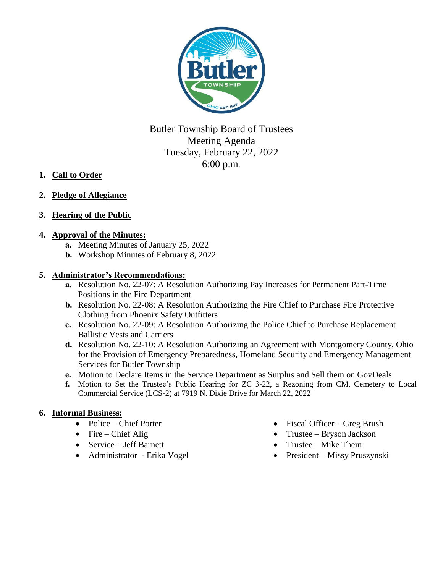

Butler Township Board of Trustees Meeting Agenda Tuesday, February 22, 2022 6:00 p.m.

- **1. Call to Order**
- **2. Pledge of Allegiance**
- **3. Hearing of the Public**

# **4. Approval of the Minutes:**

- **a.** Meeting Minutes of January 25, 2022
- **b.** Workshop Minutes of February 8, 2022

### **5. Administrator's Recommendations:**

- **a.** Resolution No. 22-07: A Resolution Authorizing Pay Increases for Permanent Part-Time Positions in the Fire Department
- **b.** Resolution No. 22-08: A Resolution Authorizing the Fire Chief to Purchase Fire Protective Clothing from Phoenix Safety Outfitters
- **c.** Resolution No. 22-09: A Resolution Authorizing the Police Chief to Purchase Replacement Ballistic Vests and Carriers
- **d.** Resolution No. 22-10: A Resolution Authorizing an Agreement with Montgomery County, Ohio for the Provision of Emergency Preparedness, Homeland Security and Emergency Management Services for Butler Township
- **e.** Motion to Declare Items in the Service Department as Surplus and Sell them on GovDeals
- **f.** Motion to Set the Trustee's Public Hearing for ZC 3-22, a Rezoning from CM, Cemetery to Local Commercial Service (LCS-2) at 7919 N. Dixie Drive for March 22, 2022

## **6. Informal Business:**

- Police Chief Porter
- $\bullet$  Fire Chief Alig
- Service Jeff Barnett
- Administrator Erika Vogel
- Fiscal Officer Greg Brush
- Trustee Bryson Jackson
- $\bullet$  Trustee Mike Thein
- President Missy Pruszynski